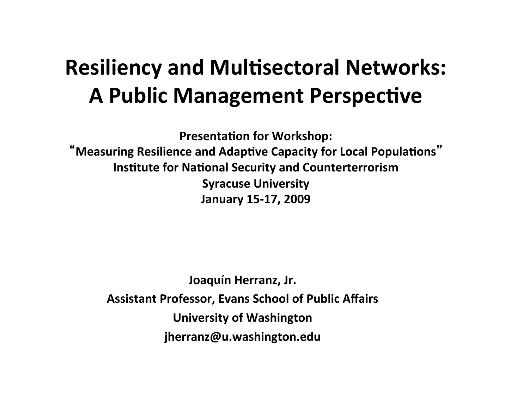#### **Resiliency and Multisectoral Networks: A Public Management Perspective**

**Presentation for Workshop:** "Measuring Resilience and Adaptive Capacity for Local Populations" **Institute for National Security and Counterterrorism Syracuse University January 15-17, 2009**

Joaquín Herranz, Jr. **Assistant Professor, Evans School of Public Affairs University of Washington jherranz@u.washington.edu**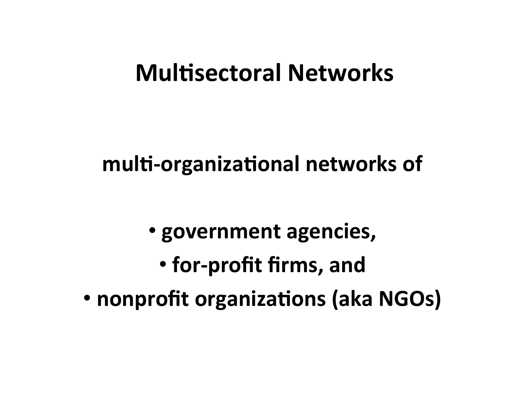#### **Multisectoral Networks**

multi-organizational networks of

**• government agencies, • for-profit firms, and** • nonprofit organizations (aka NGOs)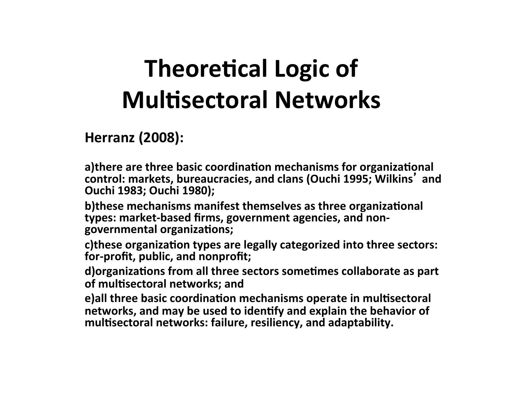# **Theoretical Logic of Multisectoral Networks**

#### **Herranz (2008):**

a)there are three basic coordination mechanisms for organizational control: markets, bureaucracies, and clans (Ouchi 1995; Wilkins<sup>'</sup> and **Ouchi 1983; Ouchi 1980);** 

**b**) these mechanisms manifest themselves as three organizational types: market-based firms, government agencies, and nongovernmental organizations;

c)these organization types are legally categorized into three sectors: for-profit, public, and nonprofit;

d) organizations from all three sectors sometimes collaborate as part of multisectoral networks; and

**e)all three basic coordination mechanisms operate in multisectoral** networks, and may be used to identify and explain the behavior of multisectoral networks: failure, resiliency, and adaptability.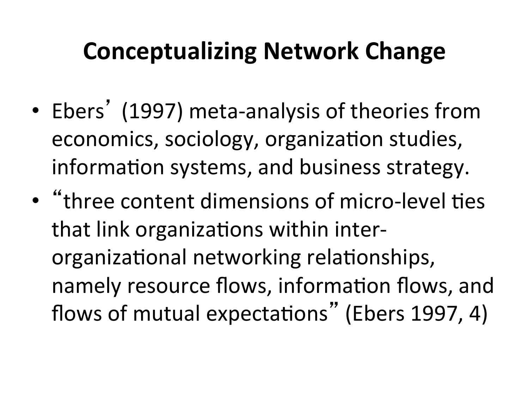# **Conceptualizing Network Change**

- Ebers<sup>'</sup> (1997) meta-analysis of theories from economics, sociology, organization studies, information systems, and business strategy.
- "three content dimensions of micro-level ties that link organizations within interorganizational networking relationships, namely resource flows, information flows, and flows of mutual expectations" (Ebers 1997, 4)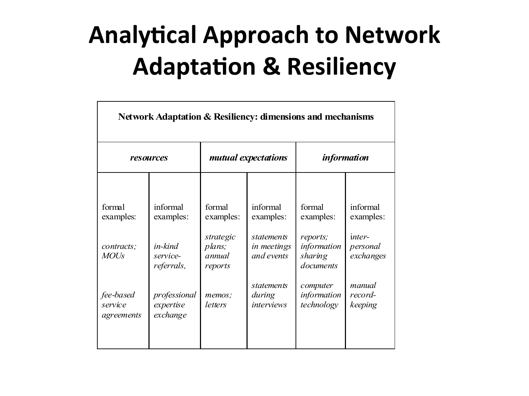# **Analytical Approach to Network Adaptation & Resiliency**

| Network Adaptation & Resiliency: dimensions and mechanisms                                          |                                                                                      |                                                                                                        |                                                                                                                 |                                                                                          |  |
|-----------------------------------------------------------------------------------------------------|--------------------------------------------------------------------------------------|--------------------------------------------------------------------------------------------------------|-----------------------------------------------------------------------------------------------------------------|------------------------------------------------------------------------------------------|--|
| resources                                                                                           |                                                                                      | mutual expectations                                                                                    |                                                                                                                 | <i>information</i>                                                                       |  |
| informal<br>examples:<br>in-kind<br>service-<br>referrals,<br>professional<br>expertise<br>exchange | formal<br>examples:<br>strategic<br>plans;<br>annual<br>reports<br>memos;<br>letters | informal<br>examples:<br>statements<br>in meetings<br>and events<br>statements<br>during<br>interviews | formal<br>examples:<br>reports;<br>information<br>sharing<br>documents<br>computer<br>information<br>technology | informal<br>examples:<br>inter-<br>personal<br>exchanges<br>manual<br>record-<br>keeping |  |
|                                                                                                     |                                                                                      |                                                                                                        |                                                                                                                 |                                                                                          |  |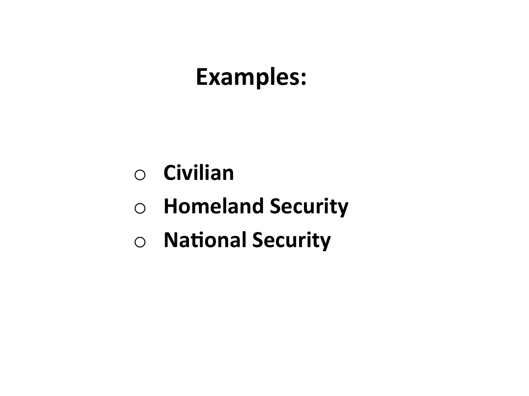## Examples:

- $\circ$  **Civilian**
- $\circ$  **Homeland Security**
- $\circ$  **National Security**